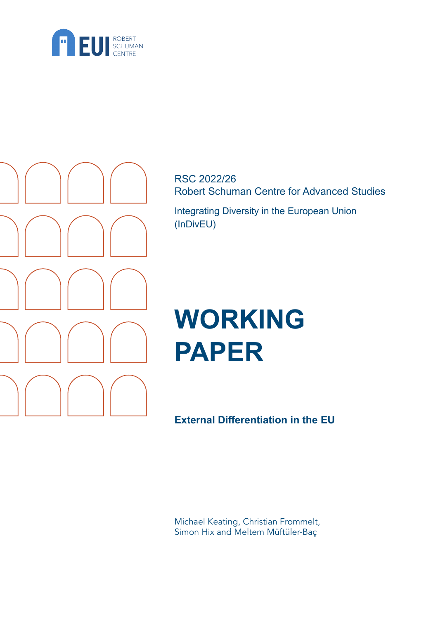



RSC 2022/26 Robert Schuman Centre for Advanced Studies

Integrating Diversity in the European Union (InDivEU)

# **WORKING PAPER**

**External Differentiation in the EU**

Michael Keating, Christian Frommelt, Simon Hix and Meltem Müftüler-Baç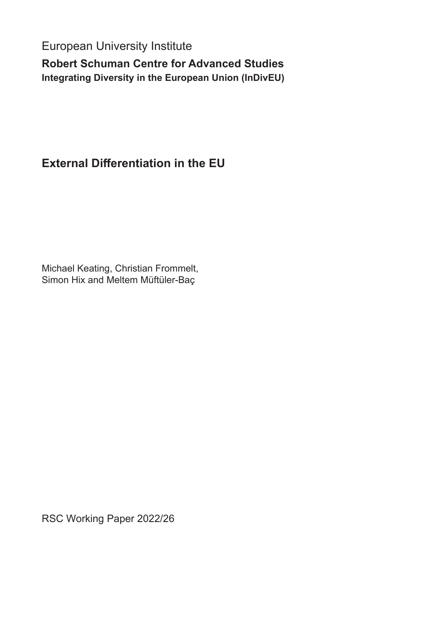European University Institute

**Robert Schuman Centre for Advanced Studies Integrating Diversity in the European Union (InDivEU)**

# **External Differentiation in the EU**

Michael Keating, Christian Frommelt, Simon Hix and Meltem Müftüler-Baç

RSC Working Paper 2022/26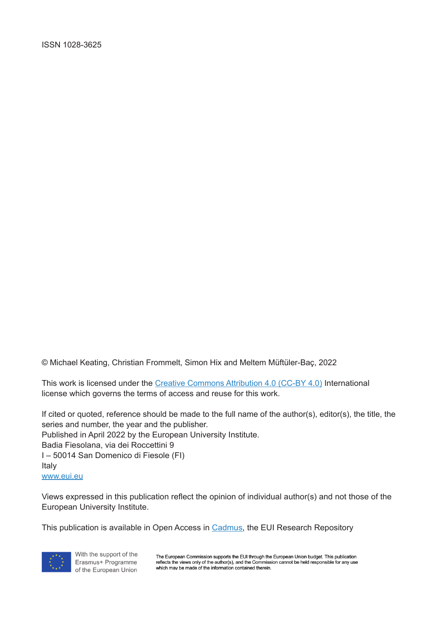© Michael Keating, Christian Frommelt, Simon Hix and Meltem Müftüler-Baç, 2022

This work is licensed under the [Creative Commons Attribution 4.0 \(CC-BY 4.0\) International](https://creativecommons.org/licenses/by/4.0/)  [license](https://creativecommons.org/licenses/by/4.0/) which governs the terms of access and reuse for this work.

If cited or quoted, reference should be made to the full name of the author(s), editor(s), the title, the series and number, the year and the publisher. Published in April 2022 by the European University Institute. Badia Fiesolana, via dei Roccettini 9 I – 50014 San Domenico di Fiesole (FI) Italy

[www.eui.eu](http://www.eui.eu)

Views expressed in this publication reflect the opinion of individual author(s) and not those of the European University Institute.

This publication is available in Open Access in [Cadmus,](https://cadmus.eui.eu ) the EUI Research Repository



With the support of the Erasmus+ Programme of the European Union

The European Commission supports the EUI through the European Union budget. This publication The presence of the author(s), and the Commission cannot be held responsible for any use<br>which may be made of the information contained therein.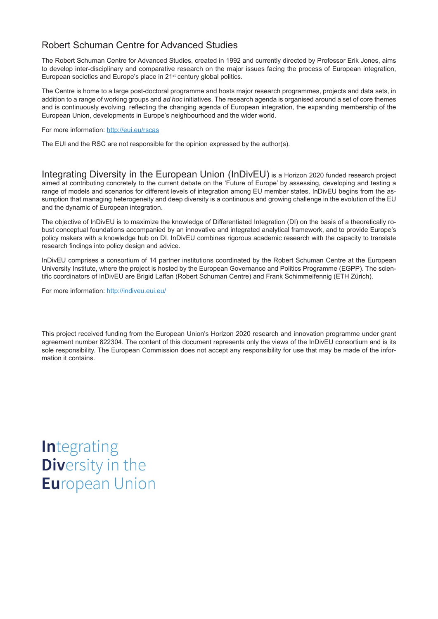# Robert Schuman Centre for Advanced Studies

The Robert Schuman Centre for Advanced Studies, created in 1992 and currently directed by Professor Erik Jones, aims to develop inter-disciplinary and comparative research on the major issues facing the process of European integration, European societies and Europe's place in 21<sup>st</sup> century global politics.

The Centre is home to a large post-doctoral programme and hosts major research programmes, projects and data sets, in addition to a range of working groups and *ad hoc* initiatives. The research agenda is organised around a set of core themes and is continuously evolving, reflecting the changing agenda of European integration, the expanding membership of the European Union, developments in Europe's neighbourhood and the wider world.

For more information:<http://eui.eu/rscas>

The EUI and the RSC are not responsible for the opinion expressed by the author(s).

Integrating Diversity in the European Union (InDivEU) is a Horizon 2020 funded research project aimed at contributing concretely to the current debate on the 'Future of Europe' by assessing, developing and testing a range of models and scenarios for different levels of integration among EU member states. InDivEU begins from the assumption that managing heterogeneity and deep diversity is a continuous and growing challenge in the evolution of the EU and the dynamic of European integration.

The objective of InDivEU is to maximize the knowledge of Differentiated Integration (DI) on the basis of a theoretically robust conceptual foundations accompanied by an innovative and integrated analytical framework, and to provide Europe's policy makers with a knowledge hub on DI. InDivEU combines rigorous academic research with the capacity to translate research findings into policy design and advice.

InDivEU comprises a consortium of 14 partner institutions coordinated by the Robert Schuman Centre at the European University Institute, where the project is hosted by the European Governance and Politics Programme (EGPP). The scientific coordinators of InDivEU are Brigid Laffan (Robert Schuman Centre) and Frank Schimmelfennig (ETH Zürich).

For more information:<http://indiveu.eui.eu/>

This project received funding from the European Union's Horizon 2020 research and innovation programme under grant agreement number 822304. The content of this document represents only the views of the InDivEU consortium and is its sole responsibility. The European Commission does not accept any responsibility for use that may be made of the information it contains.

**Integrating Diversity in the European Union**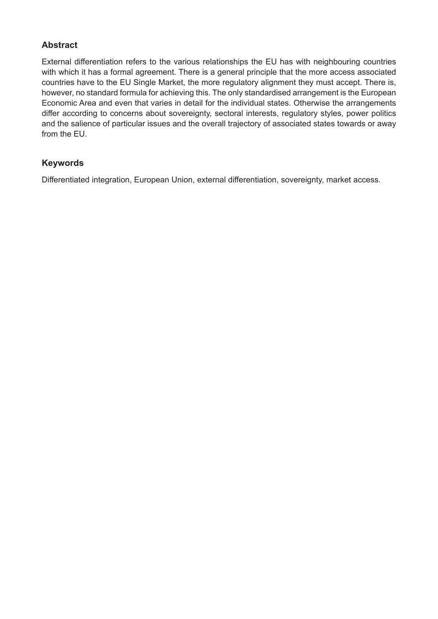# **Abstract**

External differentiation refers to the various relationships the EU has with neighbouring countries with which it has a formal agreement. There is a general principle that the more access associated countries have to the EU Single Market, the more regulatory alignment they must accept. There is, however, no standard formula for achieving this. The only standardised arrangement is the European Economic Area and even that varies in detail for the individual states. Otherwise the arrangements differ according to concerns about sovereignty, sectoral interests, regulatory styles, power politics and the salience of particular issues and the overall trajectory of associated states towards or away from the EU.

# **Keywords**

Differentiated integration, European Union, external differentiation, sovereignty, market access.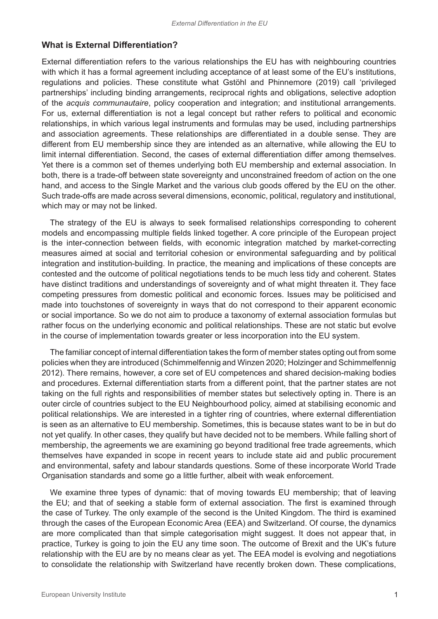#### **What is External Differentiation?**

External differentiation refers to the various relationships the EU has with neighbouring countries with which it has a formal agreement including acceptance of at least some of the EU's institutions, regulations and policies. These constitute what Gstöhl and Phinnemore (2019) call 'privileged partnerships' including binding arrangements, reciprocal rights and obligations, selective adoption of the *acquis communautaire*, policy cooperation and integration; and institutional arrangements. For us, external differentiation is not a legal concept but rather refers to political and economic relationships, in which various legal instruments and formulas may be used, including partnerships and association agreements. These relationships are differentiated in a double sense. They are different from EU membership since they are intended as an alternative, while allowing the EU to limit internal differentiation. Second, the cases of external differentiation differ among themselves. Yet there is a common set of themes underlying both EU membership and external association. In both, there is a trade-off between state sovereignty and unconstrained freedom of action on the one hand, and access to the Single Market and the various club goods offered by the EU on the other. Such trade-offs are made across several dimensions, economic, political, regulatory and institutional, which may or may not be linked.

The strategy of the EU is always to seek formalised relationships corresponding to coherent models and encompassing multiple fields linked together. A core principle of the European project is the inter-connection between fields, with economic integration matched by market-correcting measures aimed at social and territorial cohesion or environmental safeguarding and by political integration and institution-building. In practice, the meaning and implications of these concepts are contested and the outcome of political negotiations tends to be much less tidy and coherent. States have distinct traditions and understandings of sovereignty and of what might threaten it. They face competing pressures from domestic political and economic forces. Issues may be politicised and made into touchstones of sovereignty in ways that do not correspond to their apparent economic or social importance. So we do not aim to produce a taxonomy of external association formulas but rather focus on the underlying economic and political relationships. These are not static but evolve in the course of implementation towards greater or less incorporation into the EU system.

The familiar concept of internal differentiation takes the form of member states opting out from some policies when they are introduced (Schimmelfennig and Winzen 2020; Holzinger and Schimmelfennig 2012). There remains, however, a core set of EU competences and shared decision-making bodies and procedures. External differentiation starts from a different point, that the partner states are not taking on the full rights and responsibilities of member states but selectively opting in. There is an outer circle of countries subject to the EU Neighbourhood policy, aimed at stabilising economic and political relationships. We are interested in a tighter ring of countries, where external differentiation is seen as an alternative to EU membership. Sometimes, this is because states want to be in but do not yet qualify. In other cases, they qualify but have decided not to be members. While falling short of membership, the agreements we are examining go beyond traditional free trade agreements, which themselves have expanded in scope in recent years to include state aid and public procurement and environmental, safety and labour standards questions. Some of these incorporate World Trade Organisation standards and some go a little further, albeit with weak enforcement.

We examine three types of dynamic: that of moving towards EU membership; that of leaving the EU; and that of seeking a stable form of external association. The first is examined through the case of Turkey. The only example of the second is the United Kingdom. The third is examined through the cases of the European Economic Area (EEA) and Switzerland. Of course, the dynamics are more complicated than that simple categorisation might suggest. It does not appear that, in practice, Turkey is going to join the EU any time soon. The outcome of Brexit and the UK's future relationship with the EU are by no means clear as yet. The EEA model is evolving and negotiations to consolidate the relationship with Switzerland have recently broken down. These complications,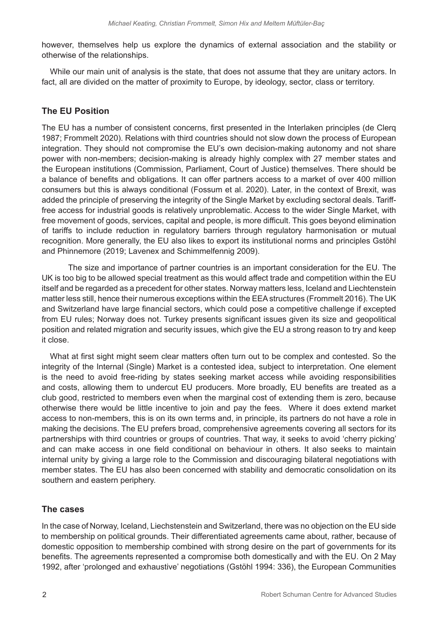however, themselves help us explore the dynamics of external association and the stability or otherwise of the relationships.

While our main unit of analysis is the state, that does not assume that they are unitary actors. In fact, all are divided on the matter of proximity to Europe, by ideology, sector, class or territory.

# **The EU Position**

The EU has a number of consistent concerns, first presented in the Interlaken principles (de Clerq 1987; Frommelt 2020). Relations with third countries should not slow down the process of European integration. They should not compromise the EU's own decision-making autonomy and not share power with non-members; decision-making is already highly complex with 27 member states and the European institutions (Commission, Parliament, Court of Justice) themselves. There should be a balance of benefits and obligations. It can offer partners access to a market of over 400 million consumers but this is always conditional (Fossum et al. 2020). Later, in the context of Brexit, was added the principle of preserving the integrity of the Single Market by excluding sectoral deals. Tarifffree access for industrial goods is relatively unproblematic. Access to the wider Single Market, with free movement of goods, services, capital and people, is more difficult. This goes beyond elimination of tariffs to include reduction in regulatory barriers through regulatory harmonisation or mutual recognition. More generally, the EU also likes to export its institutional norms and principles Gstöhl and Phinnemore (2019; Lavenex and Schimmelfennig 2009).

The size and importance of partner countries is an important consideration for the EU. The UK is too big to be allowed special treatment as this would affect trade and competition within the EU itself and be regarded as a precedent for other states. Norway matters less, Iceland and Liechtenstein matter less still, hence their numerous exceptions within the EEA structures (Frommelt 2016). The UK and Switzerland have large financial sectors, which could pose a competitive challenge if excepted from EU rules; Norway does not. Turkey presents significant issues given its size and geopolitical position and related migration and security issues, which give the EU a strong reason to try and keep it close.

What at first sight might seem clear matters often turn out to be complex and contested. So the integrity of the Internal (Single) Market is a contested idea, subject to interpretation. One element is the need to avoid free-riding by states seeking market access while avoiding responsibilities and costs, allowing them to undercut EU producers. More broadly, EU benefits are treated as a club good, restricted to members even when the marginal cost of extending them is zero, because otherwise there would be little incentive to join and pay the fees. Where it does extend market access to non-members, this is on its own terms and, in principle, its partners do not have a role in making the decisions. The EU prefers broad, comprehensive agreements covering all sectors for its partnerships with third countries or groups of countries. That way, it seeks to avoid 'cherry picking' and can make access in one field conditional on behaviour in others. It also seeks to maintain internal unity by giving a large role to the Commission and discouraging bilateral negotiations with member states. The EU has also been concerned with stability and democratic consolidation on its southern and eastern periphery.

# **The cases**

In the case of Norway, Iceland, Liechstenstein and Switzerland, there was no objection on the EU side to membership on political grounds. Their differentiated agreements came about, rather, because of domestic opposition to membership combined with strong desire on the part of governments for its benefits. The agreements represented a compromise both domestically and with the EU. On 2 May 1992, after 'prolonged and exhaustive' negotiations (Gstöhl 1994: 336), the European Communities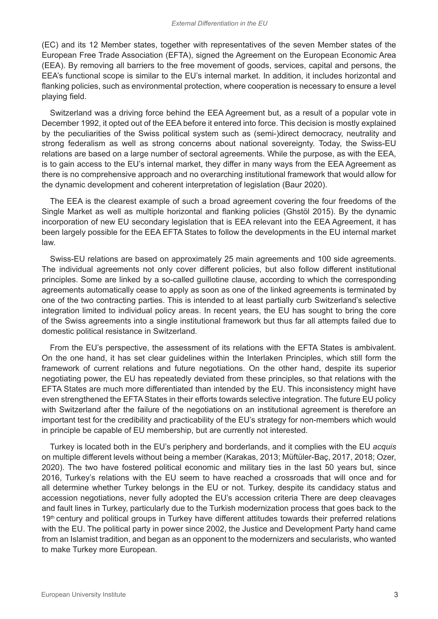(EC) and its 12 Member states, together with representatives of the seven Member states of the European Free Trade Association (EFTA), signed the Agreement on the European Economic Area (EEA). By removing all barriers to the free movement of goods, services, capital and persons, the EEA's functional scope is similar to the EU's internal market. In addition, it includes horizontal and flanking policies, such as environmental protection, where cooperation is necessary to ensure a level playing field.

Switzerland was a driving force behind the EEA Agreement but, as a result of a popular vote in December 1992, it opted out of the EEA before it entered into force. This decision is mostly explained by the peculiarities of the Swiss political system such as (semi-)direct democracy, neutrality and strong federalism as well as strong concerns about national sovereignty. Today, the Swiss-EU relations are based on a large number of sectoral agreements. While the purpose, as with the EEA, is to gain access to the EU's internal market, they differ in many ways from the EEA Agreement as there is no comprehensive approach and no overarching institutional framework that would allow for the dynamic development and coherent interpretation of legislation (Baur 2020).

The EEA is the clearest example of such a broad agreement covering the four freedoms of the Single Market as well as multiple horizontal and flanking policies (Ghstöl 2015). By the dynamic incorporation of new EU secondary legislation that is EEA relevant into the EEA Agreement, it has been largely possible for the EEA EFTA States to follow the developments in the EU internal market law.

Swiss-EU relations are based on approximately 25 main agreements and 100 side agreements. The individual agreements not only cover different policies, but also follow different institutional principles. Some are linked by a so-called guillotine clause, according to which the corresponding agreements automatically cease to apply as soon as one of the linked agreements is terminated by one of the two contracting parties. This is intended to at least partially curb Switzerland's selective integration limited to individual policy areas. In recent years, the EU has sought to bring the core of the Swiss agreements into a single institutional framework but thus far all attempts failed due to domestic political resistance in Switzerland.

From the EU's perspective, the assessment of its relations with the EFTA States is ambivalent. On the one hand, it has set clear guidelines within the Interlaken Principles, which still form the framework of current relations and future negotiations. On the other hand, despite its superior negotiating power, the EU has repeatedly deviated from these principles, so that relations with the EFTA States are much more differentiated than intended by the EU. This inconsistency might have even strengthened the EFTA States in their efforts towards selective integration. The future EU policy with Switzerland after the failure of the negotiations on an institutional agreement is therefore an important test for the credibility and practicability of the EU's strategy for non-members which would in principle be capable of EU membership, but are currently not interested.

Turkey is located both in the EU's periphery and borderlands, and it complies with the EU *acquis* on multiple different levels without being a member (Karakas, 2013; Müftüler-Baç, 2017, 2018; Ozer, 2020). The two have fostered political economic and military ties in the last 50 years but, since 2016, Turkey's relations with the EU seem to have reached a crossroads that will once and for all determine whether Turkey belongs in the EU or not. Turkey, despite its candidacy status and accession negotiations, never fully adopted the EU's accession criteria There are deep cleavages and fault lines in Turkey, particularly due to the Turkish modernization process that goes back to the 19<sup>th</sup> century and political groups in Turkey have different attitudes towards their preferred relations with the EU. The political party in power since 2002, the Justice and Development Party hand came from an Islamist tradition, and began as an opponent to the modernizers and secularists, who wanted to make Turkey more European.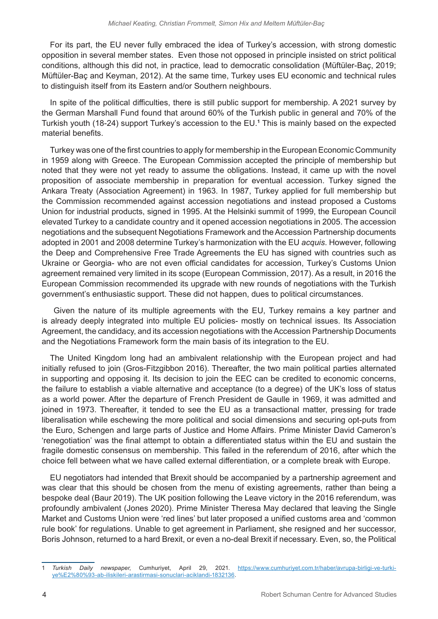For its part, the EU never fully embraced the idea of Turkey's accession, with strong domestic opposition in several member states. Even those not opposed in principle insisted on strict political conditions, although this did not, in practice, lead to democratic consolidation (Müftüler-Baç, 2019; Müftüler-Baç and Keyman, 2012). At the same time, Turkey uses EU economic and technical rules to distinguish itself from its Eastern and/or Southern neighbours.

In spite of the political difficulties, there is still public support for membership. A 2021 survey by the German Marshall Fund found that around 60% of the Turkish public in general and 70% of the Turkish youth (18-24) support Turkey's accession to the EU.**<sup>1</sup>** This is mainly based on the expected material benefits.

Turkey was one of the first countries to apply for membership in the European Economic Community in 1959 along with Greece. The European Commission accepted the principle of membership but noted that they were not yet ready to assume the obligations. Instead, it came up with the novel proposition of associate membership in preparation for eventual accession. Turkey signed the Ankara Treaty (Association Agreement) in 1963. In 1987, Turkey applied for full membership but the Commission recommended against accession negotiations and instead proposed a Customs Union for industrial products, signed in 1995. At the Helsinki summit of 1999, the European Council elevated Turkey to a candidate country and it opened accession negotiations in 2005. The accession negotiations and the subsequent Negotiations Framework and the Accession Partnership documents adopted in 2001 and 2008 determine Turkey's harmonization with the EU *acquis*. However, following the Deep and Comprehensive Free Trade Agreements the EU has signed with countries such as Ukraine or Georgia- who are not even official candidates for accession, Turkey's Customs Union agreement remained very limited in its scope (European Commission, 2017). As a result, in 2016 the European Commission recommended its upgrade with new rounds of negotiations with the Turkish government's enthusiastic support. These did not happen, dues to political circumstances.

 Given the nature of its multiple agreements with the EU, Turkey remains a key partner and is already deeply integrated into multiple EU policies- mostly on technical issues. Its Association Agreement, the candidacy, and its accession negotiations with the Accession Partnership Documents and the Negotiations Framework form the main basis of its integration to the EU.

The United Kingdom long had an ambivalent relationship with the European project and had initially refused to join (Gros-Fitzgibbon 2016). Thereafter, the two main political parties alternated in supporting and opposing it. Its decision to join the EEC can be credited to economic concerns, the failure to establish a viable alternative and acceptance (to a degree) of the UK's loss of status as a world power. After the departure of French President de Gaulle in 1969, it was admitted and joined in 1973. Thereafter, it tended to see the EU as a transactional matter, pressing for trade liberalisation while eschewing the more political and social dimensions and securing opt-puts from the Euro, Schengen and large parts of Justice and Home Affairs. Prime Minister David Cameron's 'renegotiation' was the final attempt to obtain a differentiated status within the EU and sustain the fragile domestic consensus on membership. This failed in the referendum of 2016, after which the choice fell between what we have called external differentiation, or a complete break with Europe.

EU negotiators had intended that Brexit should be accompanied by a partnership agreement and was clear that this should be chosen from the menu of existing agreements, rather than being a bespoke deal (Baur 2019). The UK position following the Leave victory in the 2016 referendum, was profoundly ambivalent (Jones 2020). Prime Minister Theresa May declared that leaving the Single Market and Customs Union were 'red lines' but later proposed a unified customs area and 'common rule book' for regulations. Unable to get agreement in Parliament, she resigned and her successor, Boris Johnson, returned to a hard Brexit, or even a no-deal Brexit if necessary. Even, so, the Political

<sup>1</sup> *Turkish Daily newspaper*, Cumhuriyet, April 29, 2021. [https://www.cumhuriyet.com.tr/haber/avrupa-birligi-ve-turki](https://www.cumhuriyet.com.tr/haber/avrupa-birligi-ve-turkiye%E2%80%93-ab-iliskileri-arastirmasi-sonuclari-aciklandi-1832136)[ye%E2%80%93-ab-iliskileri-arastirmasi-sonuclari-aciklandi-1832136.](https://www.cumhuriyet.com.tr/haber/avrupa-birligi-ve-turkiye%E2%80%93-ab-iliskileri-arastirmasi-sonuclari-aciklandi-1832136)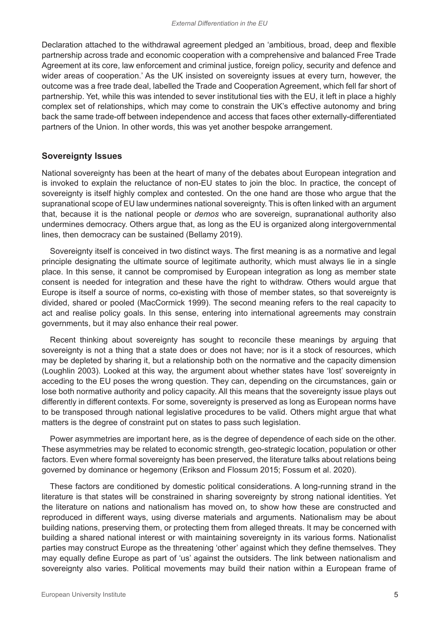Declaration attached to the withdrawal agreement pledged an 'ambitious, broad, deep and flexible partnership across trade and economic cooperation with a comprehensive and balanced Free Trade Agreement at its core, law enforcement and criminal justice, foreign policy, security and defence and wider areas of cooperation.' As the UK insisted on sovereignty issues at every turn, however, the outcome was a free trade deal, labelled the Trade and Cooperation Agreement, which fell far short of partnership. Yet, while this was intended to sever institutional ties with the EU, it left in place a highly complex set of relationships, which may come to constrain the UK's effective autonomy and bring back the same trade-off between independence and access that faces other externally-differentiated partners of the Union. In other words, this was yet another bespoke arrangement.

#### **Sovereignty Issues**

National sovereignty has been at the heart of many of the debates about European integration and is invoked to explain the reluctance of non-EU states to join the bloc. In practice, the concept of sovereignty is itself highly complex and contested. On the one hand are those who argue that the supranational scope of EU law undermines national sovereignty. This is often linked with an argument that, because it is the national people or *demos* who are sovereign, supranational authority also undermines democracy. Others argue that, as long as the EU is organized along intergovernmental lines, then democracy can be sustained (Bellamy 2019).

Sovereignty itself is conceived in two distinct ways. The first meaning is as a normative and legal principle designating the ultimate source of legitimate authority, which must always lie in a single place. In this sense, it cannot be compromised by European integration as long as member state consent is needed for integration and these have the right to withdraw. Others would argue that Europe is itself a source of norms, co-existing with those of member states, so that sovereignty is divided, shared or pooled (MacCormick 1999). The second meaning refers to the real capacity to act and realise policy goals. In this sense, entering into international agreements may constrain governments, but it may also enhance their real power.

Recent thinking about sovereignty has sought to reconcile these meanings by arguing that sovereignty is not a thing that a state does or does not have; nor is it a stock of resources, which may be depleted by sharing it, but a relationship both on the normative and the capacity dimension (Loughlin 2003). Looked at this way, the argument about whether states have 'lost' sovereignty in acceding to the EU poses the wrong question. They can, depending on the circumstances, gain or lose both normative authority and policy capacity. All this means that the sovereignty issue plays out differently in different contexts. For some, sovereignty is preserved as long as European norms have to be transposed through national legislative procedures to be valid. Others might argue that what matters is the degree of constraint put on states to pass such legislation.

Power asymmetries are important here, as is the degree of dependence of each side on the other. These asymmetries may be related to economic strength, geo-strategic location, population or other factors. Even where formal sovereignty has been preserved, the literature talks about relations being governed by dominance or hegemony (Erikson and Flossum 2015; Fossum et al. 2020).

These factors are conditioned by domestic political considerations. A long-running strand in the literature is that states will be constrained in sharing sovereignty by strong national identities. Yet the literature on nations and nationalism has moved on, to show how these are constructed and reproduced in different ways, using diverse materials and arguments. Nationalism may be about building nations, preserving them, or protecting them from alleged threats. It may be concerned with building a shared national interest or with maintaining sovereignty in its various forms. Nationalist parties may construct Europe as the threatening 'other' against which they define themselves. They may equally define Europe as part of 'us' against the outsiders. The link between nationalism and sovereignty also varies. Political movements may build their nation within a European frame of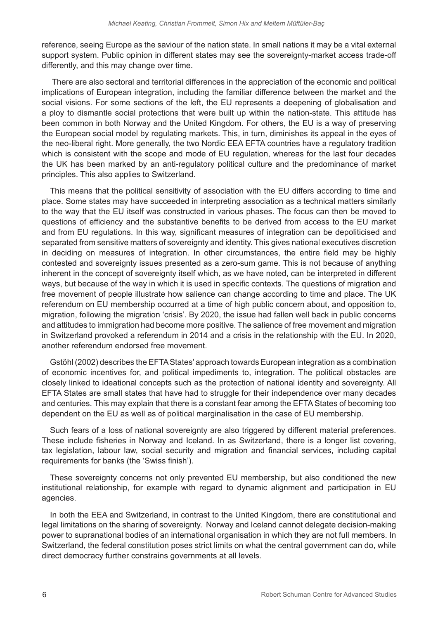reference, seeing Europe as the saviour of the nation state. In small nations it may be a vital external support system. Public opinion in different states may see the sovereignty-market access trade-off differently, and this may change over time.

 There are also sectoral and territorial differences in the appreciation of the economic and political implications of European integration, including the familiar difference between the market and the social visions. For some sections of the left, the EU represents a deepening of globalisation and a ploy to dismantle social protections that were built up within the nation-state. This attitude has been common in both Norway and the United Kingdom. For others, the EU is a way of preserving the European social model by regulating markets. This, in turn, diminishes its appeal in the eyes of the neo-liberal right. More generally, the two Nordic EEA EFTA countries have a regulatory tradition which is consistent with the scope and mode of EU regulation, whereas for the last four decades the UK has been marked by an anti-regulatory political culture and the predominance of market principles. This also applies to Switzerland.

This means that the political sensitivity of association with the EU differs according to time and place. Some states may have succeeded in interpreting association as a technical matters similarly to the way that the EU itself was constructed in various phases. The focus can then be moved to questions of efficiency and the substantive benefits to be derived from access to the EU market and from EU regulations. In this way, significant measures of integration can be depoliticised and separated from sensitive matters of sovereignty and identity. This gives national executives discretion in deciding on measures of integration. In other circumstances, the entire field may be highly contested and sovereignty issues presented as a zero-sum game. This is not because of anything inherent in the concept of sovereignty itself which, as we have noted, can be interpreted in different ways, but because of the way in which it is used in specific contexts. The questions of migration and free movement of people illustrate how salience can change according to time and place. The UK referendum on EU membership occurred at a time of high public concern about, and opposition to, migration, following the migration 'crisis'. By 2020, the issue had fallen well back in public concerns and attitudes to immigration had become more positive. The salience of free movement and migration in Switzerland provoked a referendum in 2014 and a crisis in the relationship with the EU. In 2020, another referendum endorsed free movement.

Gstöhl (2002) describes the EFTA States' approach towards European integration as a combination of economic incentives for, and political impediments to, integration. The political obstacles are closely linked to ideational concepts such as the protection of national identity and sovereignty. All EFTA States are small states that have had to struggle for their independence over many decades and centuries. This may explain that there is a constant fear among the EFTA States of becoming too dependent on the EU as well as of political marginalisation in the case of EU membership.

Such fears of a loss of national sovereignty are also triggered by different material preferences. These include fisheries in Norway and Iceland. In as Switzerland, there is a longer list covering, tax legislation, labour law, social security and migration and financial services, including capital requirements for banks (the 'Swiss finish').

These sovereignty concerns not only prevented EU membership, but also conditioned the new institutional relationship, for example with regard to dynamic alignment and participation in EU agencies.

In both the EEA and Switzerland, in contrast to the United Kingdom, there are constitutional and legal limitations on the sharing of sovereignty. Norway and Iceland cannot delegate decision-making power to supranational bodies of an international organisation in which they are not full members. In Switzerland, the federal constitution poses strict limits on what the central government can do, while direct democracy further constrains governments at all levels.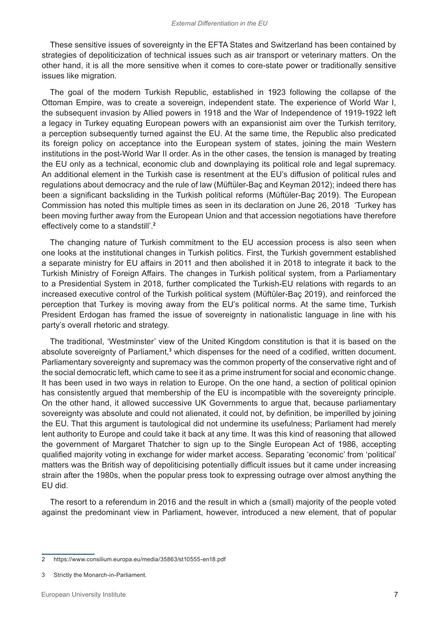These sensitive issues of sovereignty in the EFTA States and Switzerland has been contained by strategies of depoliticization of technical issues such as air transport or veterinary matters. On the other hand, it is all the more sensitive when it comes to core-state power or traditionally sensitive issues like migration.

The goal of the modern Turkish Republic, established in 1923 following the collapse of the Ottoman Empire, was to create a sovereign, independent state. The experience of World War I, the subsequent invasion by Allied powers in 1918 and the War of Independence of 1919-1922 left a legacy in Turkey equating European powers with an expansionist aim over the Turkish territory, a perception subsequently turned against the EU. At the same time, the Republic also predicated its foreign policy on acceptance into the European system of states, joining the main Western institutions in the post-World War II order. As in the other cases, the tension is managed by treating the EU only as a technical, economic club and downplaying its political role and legal supremacy. An additional element in the Turkish case is resentment at the EU's diffusion of political rules and regulations about democracy and the rule of law (Müftüler-Baç and Keyman 2012); indeed there has been a significant backsliding in the Turkish political reforms (Müftüler-Baç 2019). The European Commission has noted this multiple times as seen in its declaration on June 26, 2018 'Turkey has been moving further away from the European Union and that accession negotiations have therefore effectively come to a standstill'.**<sup>2</sup>**

The changing nature of Turkish commitment to the EU accession process is also seen when one looks at the institutional changes in Turkish politics. First, the Turkish government established a separate ministry for EU affairs in 2011 and then abolished it in 2018 to integrate it back to the Turkish Ministry of Foreign Affairs. The changes in Turkish political system, from a Parliamentary to a Presidential System in 2018, further complicated the Turkish-EU relations with regards to an increased executive control of the Turkish political system (Müftüler-Baç 2019), and reinforced the perception that Turkey is moving away from the EU's political norms. At the same time, Turkish President Erdogan has framed the issue of sovereignty in nationalistic language in line with his party's overall rhetoric and strategy.

The traditional, 'Westminster' view of the United Kingdom constitution is that it is based on the absolute sovereignty of Parliament,<sup>3</sup> which dispenses for the need of a codified, written document. Parliamentary sovereignty and supremacy was the common property of the conservative right and of the social democratic left, which came to see it as a prime instrument for social and economic change. It has been used in two ways in relation to Europe. On the one hand, a section of political opinion has consistently argued that membership of the EU is incompatible with the sovereignty principle. On the other hand, it allowed successive UK Governments to argue that, because parliamentary sovereignty was absolute and could not alienated, it could not, by definition, be imperilled by joining the EU. That this argument is tautological did not undermine its usefulness; Parliament had merely lent authority to Europe and could take it back at any time. It was this kind of reasoning that allowed the government of Margaret Thatcher to sign up to the Single European Act of 1986, accepting qualified majority voting in exchange for wider market access. Separating 'economic' from 'political' matters was the British way of depoliticising potentially difficult issues but it came under increasing strain after the 1980s, when the popular press took to expressing outrage over almost anything the EU did.

The resort to a referendum in 2016 and the result in which a (small) majority of the people voted against the predominant view in Parliament, however, introduced a new element, that of popular

<sup>2</sup> https://www.consilium.europa.eu/media/35863/st10555-en18.pdf

<sup>3</sup> Strictly the Monarch-in-Parliament.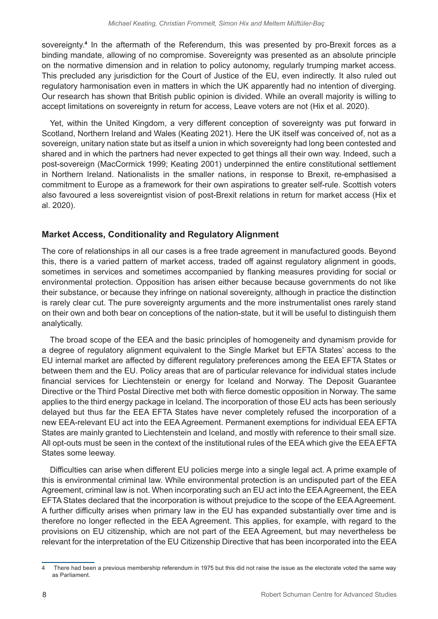sovereignty.**<sup>4</sup>** In the aftermath of the Referendum, this was presented by pro-Brexit forces as a binding mandate, allowing of no compromise. Sovereignty was presented as an absolute principle on the normative dimension and in relation to policy autonomy, regularly trumping market access. This precluded any jurisdiction for the Court of Justice of the EU, even indirectly. It also ruled out regulatory harmonisation even in matters in which the UK apparently had no intention of diverging. Our research has shown that British public opinion is divided. While an overall majority is willing to accept limitations on sovereignty in return for access, Leave voters are not (Hix et al. 2020).

Yet, within the United Kingdom, a very different conception of sovereignty was put forward in Scotland, Northern Ireland and Wales (Keating 2021). Here the UK itself was conceived of, not as a sovereign, unitary nation state but as itself a union in which sovereignty had long been contested and shared and in which the partners had never expected to get things all their own way. Indeed, such a post-sovereign (MacCormick 1999; Keating 2001) underpinned the entire constitutional settlement in Northern Ireland. Nationalists in the smaller nations, in response to Brexit, re-emphasised a commitment to Europe as a framework for their own aspirations to greater self-rule. Scottish voters also favoured a less sovereigntist vision of post-Brexit relations in return for market access (Hix et al. 2020).

# **Market Access, Conditionality and Regulatory Alignment**

The core of relationships in all our cases is a free trade agreement in manufactured goods. Beyond this, there is a varied pattern of market access, traded off against regulatory alignment in goods, sometimes in services and sometimes accompanied by flanking measures providing for social or environmental protection. Opposition has arisen either because because governments do not like their substance, or because they infringe on national sovereignty, although in practice the distinction is rarely clear cut. The pure sovereignty arguments and the more instrumentalist ones rarely stand on their own and both bear on conceptions of the nation-state, but it will be useful to distinguish them analytically.

The broad scope of the EEA and the basic principles of homogeneity and dynamism provide for a degree of regulatory alignment equivalent to the Single Market but EFTA States' access to the EU internal market are affected by different regulatory preferences among the EEA EFTA States or between them and the EU. Policy areas that are of particular relevance for individual states include financial services for Liechtenstein or energy for Iceland and Norway. The Deposit Guarantee Directive or the Third Postal Directive met both with fierce domestic opposition in Norway. The same applies to the third energy package in Iceland. The incorporation of those EU acts has been seriously delayed but thus far the EEA EFTA States have never completely refused the incorporation of a new EEA-relevant EU act into the EEA Agreement. Permanent exemptions for individual EEA EFTA States are mainly granted to Liechtenstein and Iceland, and mostly with reference to their small size. All opt-outs must be seen in the context of the institutional rules of the EEA which give the EEA EFTA States some leeway.

Difficulties can arise when different EU policies merge into a single legal act. A prime example of this is environmental criminal law. While environmental protection is an undisputed part of the EEA Agreement, criminal law is not. When incorporating such an EU act into the EEA Agreement, the EEA EFTA States declared that the incorporation is without prejudice to the scope of the EEA Agreement. A further difficulty arises when primary law in the EU has expanded substantially over time and is therefore no longer reflected in the EEA Agreement. This applies, for example, with regard to the provisions on EU citizenship, which are not part of the EEA Agreement, but may nevertheless be relevant for the interpretation of the EU Citizenship Directive that has been incorporated into the EEA

<sup>4</sup> There had been a previous membership referendum in 1975 but this did not raise the issue as the electorate voted the same way as Parliament.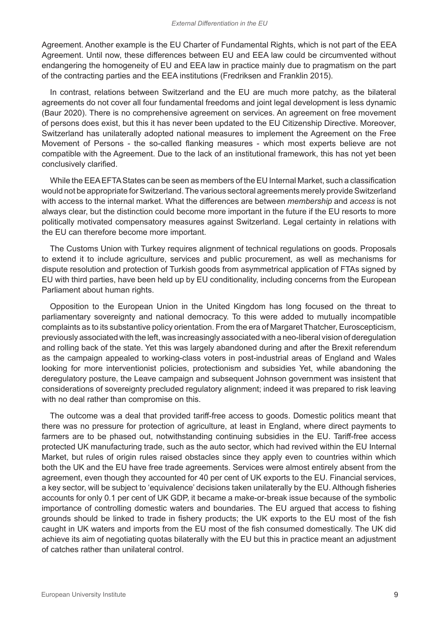Agreement. Another example is the EU Charter of Fundamental Rights, which is not part of the EEA Agreement. Until now, these differences between EU and EEA law could be circumvented without endangering the homogeneity of EU and EEA law in practice mainly due to pragmatism on the part of the contracting parties and the EEA institutions (Fredriksen and Franklin 2015).

In contrast, relations between Switzerland and the EU are much more patchy, as the bilateral agreements do not cover all four fundamental freedoms and joint legal development is less dynamic (Baur 2020). There is no comprehensive agreement on services. An agreement on free movement of persons does exist, but this it has never been updated to the EU Citizenship Directive. Moreover, Switzerland has unilaterally adopted national measures to implement the Agreement on the Free Movement of Persons - the so-called flanking measures - which most experts believe are not compatible with the Agreement. Due to the lack of an institutional framework, this has not yet been conclusively clarified.

While the EEA EFTA States can be seen as members of the EU Internal Market, such a classification would not be appropriate for Switzerland. The various sectoral agreements merely provide Switzerland with access to the internal market. What the differences are between *membership* and *access* is not always clear, but the distinction could become more important in the future if the EU resorts to more politically motivated compensatory measures against Switzerland. Legal certainty in relations with the EU can therefore become more important.

The Customs Union with Turkey requires alignment of technical regulations on goods. Proposals to extend it to include agriculture, services and public procurement, as well as mechanisms for dispute resolution and protection of Turkish goods from asymmetrical application of FTAs signed by EU with third parties, have been held up by EU conditionality, including concerns from the European Parliament about human rights.

Opposition to the European Union in the United Kingdom has long focused on the threat to parliamentary sovereignty and national democracy. To this were added to mutually incompatible complaints as to its substantive policy orientation. From the era of Margaret Thatcher, Euroscepticism, previously associated with the left, was increasingly associated with a neo-liberal vision of deregulation and rolling back of the state. Yet this was largely abandoned during and after the Brexit referendum as the campaign appealed to working-class voters in post-industrial areas of England and Wales looking for more interventionist policies, protectionism and subsidies Yet, while abandoning the deregulatory posture, the Leave campaign and subsequent Johnson government was insistent that considerations of sovereignty precluded regulatory alignment; indeed it was prepared to risk leaving with no deal rather than compromise on this.

The outcome was a deal that provided tariff-free access to goods. Domestic politics meant that there was no pressure for protection of agriculture, at least in England, where direct payments to farmers are to be phased out, notwithstanding continuing subsidies in the EU. Tariff-free access protected UK manufacturing trade, such as the auto sector, which had revived within the EU Internal Market, but rules of origin rules raised obstacles since they apply even to countries within which both the UK and the EU have free trade agreements. Services were almost entirely absent from the agreement, even though they accounted for 40 per cent of UK exports to the EU. Financial services, a key sector, will be subject to 'equivalence' decisions taken unilaterally by the EU. Although fisheries accounts for only 0.1 per cent of UK GDP, it became a make-or-break issue because of the symbolic importance of controlling domestic waters and boundaries. The EU argued that access to fishing grounds should be linked to trade in fishery products; the UK exports to the EU most of the fish caught in UK waters and imports from the EU most of the fish consumed domestically. The UK did achieve its aim of negotiating quotas bilaterally with the EU but this in practice meant an adjustment of catches rather than unilateral control.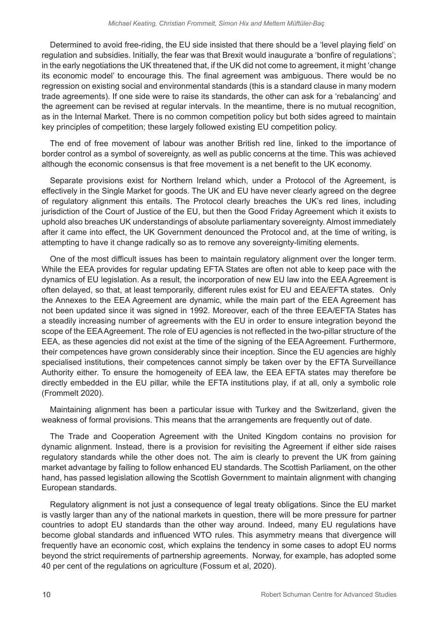Determined to avoid free-riding, the EU side insisted that there should be a 'level playing field' on regulation and subsidies. Initially, the fear was that Brexit would inaugurate a 'bonfire of regulations'; in the early negotiations the UK threatened that, if the UK did not come to agreement, it might 'change its economic model' to encourage this. The final agreement was ambiguous. There would be no regression on existing social and environmental standards (this is a standard clause in many modern trade agreements). If one side were to raise its standards, the other can ask for a 'rebalancing' and the agreement can be revised at regular intervals. In the meantime, there is no mutual recognition, as in the Internal Market. There is no common competition policy but both sides agreed to maintain key principles of competition; these largely followed existing EU competition policy.

The end of free movement of labour was another British red line, linked to the importance of border control as a symbol of sovereignty, as well as public concerns at the time. This was achieved although the economic consensus is that free movement is a net benefit to the UK economy.

Separate provisions exist for Northern Ireland which, under a Protocol of the Agreement, is effectively in the Single Market for goods. The UK and EU have never clearly agreed on the degree of regulatory alignment this entails. The Protocol clearly breaches the UK's red lines, including jurisdiction of the Court of Justice of the EU, but then the Good Friday Agreement which it exists to uphold also breaches UK understandings of absolute parliamentary sovereignty. Almost immediately after it came into effect, the UK Government denounced the Protocol and, at the time of writing, is attempting to have it change radically so as to remove any sovereignty-limiting elements.

One of the most difficult issues has been to maintain regulatory alignment over the longer term. While the EEA provides for regular updating EFTA States are often not able to keep pace with the dynamics of EU legislation. As a result, the incorporation of new EU law into the EEA Agreement is often delayed, so that, at least temporarily, different rules exist for EU and EEA/EFTA states. Only the Annexes to the EEA Agreement are dynamic, while the main part of the EEA Agreement has not been updated since it was signed in 1992. Moreover, each of the three EEA/EFTA States has a steadily increasing number of agreements with the EU in order to ensure integration beyond the scope of the EEA Agreement. The role of EU agencies is not reflected in the two-pillar structure of the EEA, as these agencies did not exist at the time of the signing of the EEA Agreement. Furthermore, their competences have grown considerably since their inception. Since the EU agencies are highly specialised institutions, their competences cannot simply be taken over by the EFTA Surveillance Authority either. To ensure the homogeneity of EEA law, the EEA EFTA states may therefore be directly embedded in the EU pillar, while the EFTA institutions play, if at all, only a symbolic role (Frommelt 2020).

Maintaining alignment has been a particular issue with Turkey and the Switzerland, given the weakness of formal provisions. This means that the arrangements are frequently out of date.

The Trade and Cooperation Agreement with the United Kingdom contains no provision for dynamic alignment. Instead, there is a provision for revisiting the Agreement if either side raises regulatory standards while the other does not. The aim is clearly to prevent the UK from gaining market advantage by failing to follow enhanced EU standards. The Scottish Parliament, on the other hand, has passed legislation allowing the Scottish Government to maintain alignment with changing European standards.

Regulatory alignment is not just a consequence of legal treaty obligations. Since the EU market is vastly larger than any of the national markets in question, there will be more pressure for partner countries to adopt EU standards than the other way around. Indeed, many EU regulations have become global standards and influenced WTO rules. This asymmetry means that divergence will frequently have an economic cost, which explains the tendency in some cases to adopt EU norms beyond the strict requirements of partnership agreements. Norway, for example, has adopted some 40 per cent of the regulations on agriculture (Fossum et al, 2020).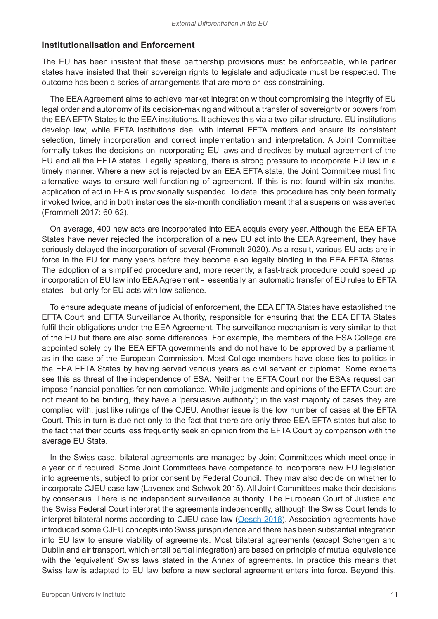#### **Institutionalisation and Enforcement**

The EU has been insistent that these partnership provisions must be enforceable, while partner states have insisted that their sovereign rights to legislate and adjudicate must be respected. The outcome has been a series of arrangements that are more or less constraining.

The EEA Agreement aims to achieve market integration without compromising the integrity of EU legal order and autonomy of its decision-making and without a transfer of sovereignty or powers from the EEA EFTA States to the EEA institutions. It achieves this via a two-pillar structure. EU institutions develop law, while EFTA institutions deal with internal EFTA matters and ensure its consistent selection, timely incorporation and correct implementation and interpretation. A Joint Committee formally takes the decisions on incorporating EU laws and directives by mutual agreement of the EU and all the EFTA states. Legally speaking, there is strong pressure to incorporate EU law in a timely manner. Where a new act is rejected by an EEA EFTA state, the Joint Committee must find alternative ways to ensure well-functioning of agreement. If this is not found within six months, application of act in EEA is provisionally suspended. To date, this procedure has only been formally invoked twice, and in both instances the six-month conciliation meant that a suspension was averted (Frommelt 2017: 60-62).

On average, 400 new acts are incorporated into EEA acquis every year. Although the EEA EFTA States have never rejected the incorporation of a new EU act into the EEA Agreement, they have seriously delayed the incorporation of several (Frommelt 2020). As a result, various EU acts are in force in the EU for many years before they become also legally binding in the EEA EFTA States. The adoption of a simplified procedure and, more recently, a fast-track procedure could speed up incorporation of EU law into EEA Agreement - essentially an automatic transfer of EU rules to EFTA states - but only for EU acts with low salience.

To ensure adequate means of judicial of enforcement, the EEA EFTA States have established the EFTA Court and EFTA Surveillance Authority, responsible for ensuring that the EEA EFTA States fulfil their obligations under the EEA Agreement. The surveillance mechanism is very similar to that of the EU but there are also some differences. For example, the members of the ESA College are appointed solely by the EEA EFTA governments and do not have to be approved by a parliament, as in the case of the European Commission. Most College members have close ties to politics in the EEA EFTA States by having served various years as civil servant or diplomat. Some experts see this as threat of the independence of ESA. Neither the EFTA Court nor the ESA's request can impose financial penalties for non-compliance. While judgments and opinions of the EFTA Court are not meant to be binding, they have a 'persuasive authority'; in the vast majority of cases they are complied with, just like rulings of the CJEU. Another issue is the low number of cases at the EFTA Court. This in turn is due not only to the fact that there are only three EEA EFTA states but also to the fact that their courts less frequently seek an opinion from the EFTA Court by comparison with the average EU State.

In the Swiss case, bilateral agreements are managed by Joint Committees which meet once in a year or if required. Some Joint Committees have competence to incorporate new EU legislation into agreements, subject to prior consent by Federal Council. They may also decide on whether to incorporate CJEU case law (Lavenex and Schwok 2015). All Joint Committees make their decisions by consensus. There is no independent surveillance authority. The European Court of Justice and the Swiss Federal Court interpret the agreements independently, although the Swiss Court tends to interpret bilateral norms according to CJEU case law ([Oesch 2018\)](https://www.ivr.uzh.ch/dam/jcr:0ff1656a-745f-46fa-9bc6-e6157b1260bf/Oesch%20The%20Swiss%20Model%20of%20European%20Integration.pdf). Association agreements have introduced some CJEU concepts into Swiss jurisprudence and there has been substantial integration into EU law to ensure viability of agreements. Most bilateral agreements (except Schengen and Dublin and air transport, which entail partial integration) are based on principle of mutual equivalence with the 'equivalent' Swiss laws stated in the Annex of agreements. In practice this means that Swiss law is adapted to EU law before a new sectoral agreement enters into force. Beyond this,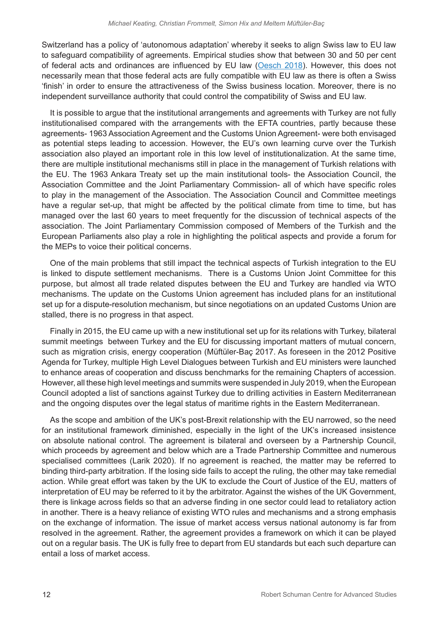Switzerland has a policy of 'autonomous adaptation' whereby it seeks to align Swiss law to EU law to safeguard compatibility of agreements. Empirical studies show that between 30 and 50 per cent of federal acts and ordinances are influenced by EU law ([Oesch 2018](https://www.ivr.uzh.ch/dam/jcr:0ff1656a-745f-46fa-9bc6-e6157b1260bf/Oesch%20The%20Swiss%20Model%20of%20European%20Integration.pdf)). However, this does not necessarily mean that those federal acts are fully compatible with EU law as there is often a Swiss 'finish' in order to ensure the attractiveness of the Swiss business location. Moreover, there is no independent surveillance authority that could control the compatibility of Swiss and EU law.

It is possible to argue that the institutional arrangements and agreements with Turkey are not fully institutionalised compared with the arrangements with the EFTA countries, partly because these agreements- 1963 Association Agreement and the Customs Union Agreement- were both envisaged as potential steps leading to accession. However, the EU's own learning curve over the Turkish association also played an important role in this low level of institutionalization. At the same time, there are multiple institutional mechanisms still in place in the management of Turkish relations with the EU. The 1963 Ankara Treaty set up the main institutional tools- the Association Council, the Association Committee and the Joint Parliamentary Commission- all of which have specific roles to play in the management of the Association. The Association Council and Committee meetings have a regular set-up, that might be affected by the political climate from time to time, but has managed over the last 60 years to meet frequently for the discussion of technical aspects of the association. The Joint Parliamentary Commission composed of Members of the Turkish and the European Parliaments also play a role in highlighting the political aspects and provide a forum for the MEPs to voice their political concerns.

One of the main problems that still impact the technical aspects of Turkish integration to the EU is linked to dispute settlement mechanisms. There is a Customs Union Joint Committee for this purpose, but almost all trade related disputes between the EU and Turkey are handled via WTO mechanisms. The update on the Customs Union agreement has included plans for an institutional set up for a dispute-resolution mechanism, but since negotiations on an updated Customs Union are stalled, there is no progress in that aspect.

Finally in 2015, the EU came up with a new institutional set up for its relations with Turkey, bilateral summit meetings between Turkey and the EU for discussing important matters of mutual concern, such as migration crisis, energy cooperation (Müftüler-Baç 2017. As foreseen in the 2012 Positive Agenda for Turkey, multiple High Level Dialogues between Turkish and EU ministers were launched to enhance areas of cooperation and discuss benchmarks for the remaining Chapters of accession. However, all these high level meetings and summits were suspended in July 2019, when the European Council adopted a list of sanctions against Turkey due to drilling activities in Eastern Mediterranean and the ongoing disputes over the legal status of maritime rights in the Eastern Mediterranean.

As the scope and ambition of the UK's post-Brexit relationship with the EU narrowed, so the need for an institutional framework diminished, especially in the light of the UK's increased insistence on absolute national control. The agreement is bilateral and overseen by a Partnership Council, which proceeds by agreement and below which are a Trade Partnership Committee and numerous specialised committees (Larik 2020). If no agreement is reached, the matter may be referred to binding third-party arbitration. If the losing side fails to accept the ruling, the other may take remedial action. While great effort was taken by the UK to exclude the Court of Justice of the EU, matters of interpretation of EU may be referred to it by the arbitrator. Against the wishes of the UK Government, there is linkage across fields so that an adverse finding in one sector could lead to retaliatory action in another. There is a heavy reliance of existing WTO rules and mechanisms and a strong emphasis on the exchange of information. The issue of market access versus national autonomy is far from resolved in the agreement. Rather, the agreement provides a framework on which it can be played out on a regular basis. The UK is fully free to depart from EU standards but each such departure can entail a loss of market access.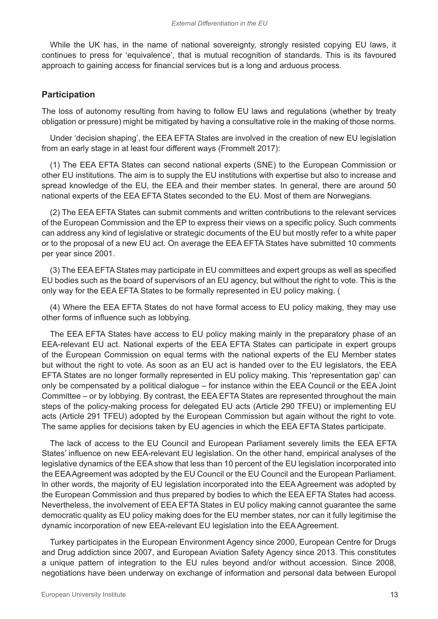While the UK has, in the name of national sovereignty, strongly resisted copying EU laws, it continues to press for 'equivalence', that is mutual recognition of standards. This is its favoured approach to gaining access for financial services but is a long and arduous process.

#### **Participation**

The loss of autonomy resulting from having to follow EU laws and regulations (whether by treaty obligation or pressure) might be mitigated by having a consultative role in the making of those norms.

Under 'decision shaping', the EEA EFTA States are involved in the creation of new EU legislation from an early stage in at least four different ways (Frommelt 2017):

(1) The EEA EFTA States can second national experts (SNE) to the European Commission or other EU institutions. The aim is to supply the EU institutions with expertise but also to increase and spread knowledge of the EU, the EEA and their member states. In general, there are around 50 national experts of the EEA EFTA States seconded to the EU. Most of them are Norwegians.

(2) The EEA EFTA States can submit comments and written contributions to the relevant services of the European Commission and the EP to express their views on a specific policy. Such comments can address any kind of legislative or strategic documents of the EU but mostly refer to a white paper or to the proposal of a new EU act. On average the EEA EFTA States have submitted 10 comments per year since 2001.

(3) The EEA EFTA States may participate in EU committees and expert groups as well as specified EU bodies such as the board of supervisors of an EU agency, but without the right to vote. This is the only way for the EEA EFTA States to be formally represented in EU policy making. (

(4) Where the EEA EFTA States do not have formal access to EU policy making, they may use other forms of influence such as lobbying.

The EEA EFTA States have access to EU policy making mainly in the preparatory phase of an EEA-relevant EU act. National experts of the EEA EFTA States can participate in expert groups of the European Commission on equal terms with the national experts of the EU Member states but without the right to vote. As soon as an EU act is handed over to the EU legislators, the EEA EFTA States are no longer formally represented in EU policy making. This 'representation gap' can only be compensated by a political dialogue – for instance within the EEA Council or the EEA Joint Committee – or by lobbying. By contrast, the EEA EFTA States are represented throughout the main steps of the policy-making process for delegated EU acts (Article 290 TFEU) or implementing EU acts (Article 291 TFEU) adopted by the European Commission but again without the right to vote. The same applies for decisions taken by EU agencies in which the EEA EFTA States participate.

The lack of access to the EU Council and European Parliament severely limits the EEA EFTA States' influence on new EEA-relevant EU legislation. On the other hand, empirical analyses of the legislative dynamics of the EEA show that less than 10 percent of the EU legislation incorporated into the EEA Agreement was adopted by the EU Council or the EU Council and the European Parliament. In other words, the majority of EU legislation incorporated into the EEA Agreement was adopted by the European Commission and thus prepared by bodies to which the EEA EFTA States had access. Nevertheless, the involvement of EEA EFTA States in EU policy making cannot guarantee the same democratic quality as EU policy making does for the EU member states, nor can it fully legitimise the dynamic incorporation of new EEA-relevant EU legislation into the EEA Agreement.

Turkey participates in the European Environment Agency since 2000, European Centre for Drugs and Drug addiction since 2007, and European Aviation Safety Agency since 2013. This constitutes a unique pattern of integration to the EU rules beyond and/or without accession. Since 2008, negotiations have been underway on exchange of information and personal data between Europol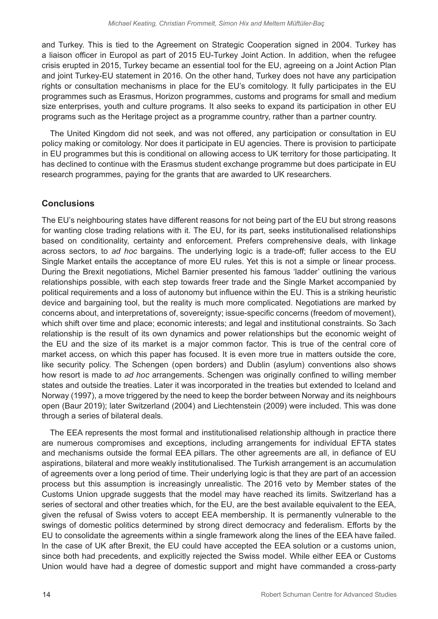and Turkey. This is tied to the Agreement on Strategic Cooperation signed in 2004. Turkey has a liaison officer in Europol as part of 2015 EU-Turkey Joint Action. In addition, when the refugee crisis erupted in 2015, Turkey became an essential tool for the EU, agreeing on a Joint Action Plan and joint Turkey-EU statement in 2016. On the other hand, Turkey does not have any participation rights or consultation mechanisms in place for the EU's comitology. It fully participates in the EU programmes such as Erasmus, Horizon programmes, customs and programs for small and medium size enterprises, youth and culture programs. It also seeks to expand its participation in other EU programs such as the Heritage project as a programme country, rather than a partner country.

The United Kingdom did not seek, and was not offered, any participation or consultation in EU policy making or comitology. Nor does it participate in EU agencies. There is provision to participate in EU programmes but this is conditional on allowing access to UK territory for those participating. It has declined to continue with the Erasmus student exchange programme but does participate in EU research programmes, paying for the grants that are awarded to UK researchers.

# **Conclusions**

The EU's neighbouring states have different reasons for not being part of the EU but strong reasons for wanting close trading relations with it. The EU, for its part, seeks institutionalised relationships based on conditionality, certainty and enforcement. Prefers comprehensive deals, with linkage across sectors, to *ad hoc* bargains. The underlying logic is a trade-off; fuller access to the EU Single Market entails the acceptance of more EU rules. Yet this is not a simple or linear process. During the Brexit negotiations, Michel Barnier presented his famous 'ladder' outlining the various relationships possible, with each step towards freer trade and the Single Market accompanied by political requirements and a loss of autonomy but influence within the EU. This is a striking heuristic device and bargaining tool, but the reality is much more complicated. Negotiations are marked by concerns about, and interpretations of, sovereignty; issue-specific concerns (freedom of movement), which shift over time and place; economic interests; and legal and institutional constraints. So 3ach relationship is the result of its own dynamics and power relationships but the economic weight of the EU and the size of its market is a major common factor. This is true of the central core of market access, on which this paper has focused. It is even more true in matters outside the core, like security policy. The Schengen (open borders) and Dublin (asylum) conventions also shows how resort is made to *ad hoc* arrangements. Schengen was originally confined to willing member states and outside the treaties. Later it was incorporated in the treaties but extended to Iceland and Norway (1997), a move triggered by the need to keep the border between Norway and its neighbours open (Baur 2019); later Switzerland (2004) and Liechtenstein (2009) were included. This was done through a series of bilateral deals.

The EEA represents the most formal and institutionalised relationship although in practice there are numerous compromises and exceptions, including arrangements for individual EFTA states and mechanisms outside the formal EEA pillars. The other agreements are all, in defiance of EU aspirations, bilateral and more weakly institutionalised. The Turkish arrangement is an accumulation of agreements over a long period of time. Their underlying logic is that they are part of an accession process but this assumption is increasingly unrealistic. The 2016 veto by Member states of the Customs Union upgrade suggests that the model may have reached its limits. Switzerland has a series of sectoral and other treaties which, for the EU, are the best available equivalent to the EEA, given the refusal of Swiss voters to accept EEA membership. It is permanently vulnerable to the swings of domestic politics determined by strong direct democracy and federalism. Efforts by the EU to consolidate the agreements within a single framework along the lines of the EEA have failed. In the case of UK after Brexit, the EU could have accepted the EEA solution or a customs union, since both had precedents, and explicitly rejected the Swiss model. While either EEA or Customs Union would have had a degree of domestic support and might have commanded a cross-party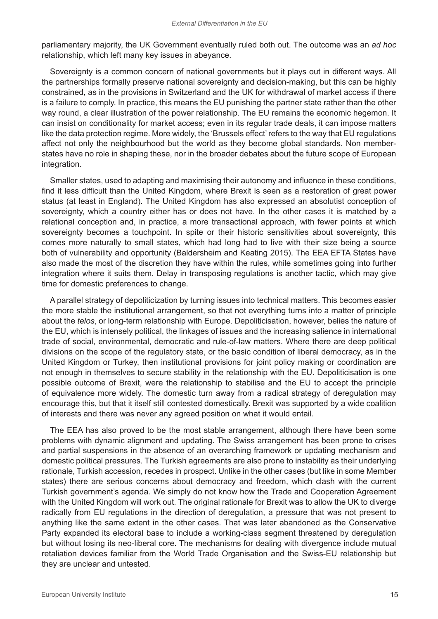parliamentary majority, the UK Government eventually ruled both out. The outcome was an *ad hoc* relationship, which left many key issues in abeyance.

Sovereignty is a common concern of national governments but it plays out in different ways. All the partnerships formally preserve national sovereignty and decision-making, but this can be highly constrained, as in the provisions in Switzerland and the UK for withdrawal of market access if there is a failure to comply. In practice, this means the EU punishing the partner state rather than the other way round, a clear illustration of the power relationship. The EU remains the economic hegemon. It can insist on conditionality for market access; even in its regular trade deals, it can impose matters like the data protection regime. More widely, the 'Brussels effect' refers to the way that EU regulations affect not only the neighbourhood but the world as they become global standards. Non memberstates have no role in shaping these, nor in the broader debates about the future scope of European integration.

Smaller states, used to adapting and maximising their autonomy and influence in these conditions, find it less difficult than the United Kingdom, where Brexit is seen as a restoration of great power status (at least in England). The United Kingdom has also expressed an absolutist conception of sovereignty, which a country either has or does not have. In the other cases it is matched by a relational conception and, in practice, a more transactional approach, with fewer points at which sovereignty becomes a touchpoint. In spite or their historic sensitivities about sovereignty, this comes more naturally to small states, which had long had to live with their size being a source both of vulnerability and opportunity (Baldersheim and Keating 2015). The EEA EFTA States have also made the most of the discretion they have within the rules, while sometimes going into further integration where it suits them. Delay in transposing regulations is another tactic, which may give time for domestic preferences to change.

A parallel strategy of depoliticization by turning issues into technical matters. This becomes easier the more stable the institutional arrangement, so that not everything turns into a matter of principle about the *telos*, or long-term relationship with Europe. Depoliticisation, however, belies the nature of the EU, which is intensely political, the linkages of issues and the increasing salience in international trade of social, environmental, democratic and rule-of-law matters. Where there are deep political divisions on the scope of the regulatory state, or the basic condition of liberal democracy, as in the United Kingdom or Turkey, then institutional provisions for joint policy making or coordination are not enough in themselves to secure stability in the relationship with the EU. Depoliticisation is one possible outcome of Brexit, were the relationship to stabilise and the EU to accept the principle of equivalence more widely. The domestic turn away from a radical strategy of deregulation may encourage this, but that it itself still contested domestically. Brexit was supported by a wide coalition of interests and there was never any agreed position on what it would entail.

The EEA has also proved to be the most stable arrangement, although there have been some problems with dynamic alignment and updating. The Swiss arrangement has been prone to crises and partial suspensions in the absence of an overarching framework or updating mechanism and domestic political pressures. The Turkish agreements are also prone to instability as their underlying rationale, Turkish accession, recedes in prospect. Unlike in the other cases (but like in some Member states) there are serious concerns about democracy and freedom, which clash with the current Turkish government's agenda. We simply do not know how the Trade and Cooperation Agreement with the United Kingdom will work out. The original rationale for Brexit was to allow the UK to diverge radically from EU regulations in the direction of deregulation, a pressure that was not present to anything like the same extent in the other cases. That was later abandoned as the Conservative Party expanded its electoral base to include a working-class segment threatened by deregulation but without losing its neo-liberal core. The mechanisms for dealing with divergence include mutual retaliation devices familiar from the World Trade Organisation and the Swiss-EU relationship but they are unclear and untested.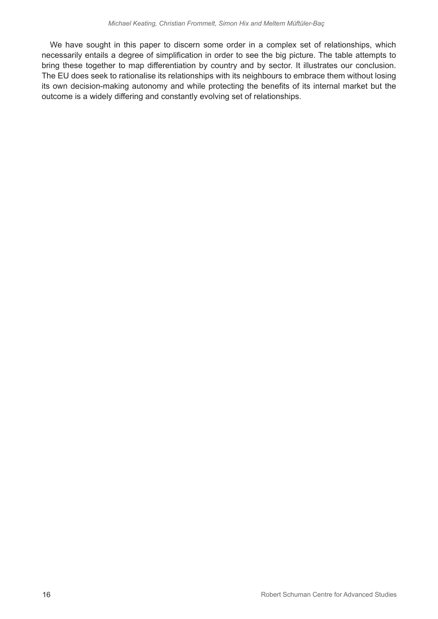We have sought in this paper to discern some order in a complex set of relationships, which necessarily entails a degree of simplification in order to see the big picture. The table attempts to bring these together to map differentiation by country and by sector. It illustrates our conclusion. The EU does seek to rationalise its relationships with its neighbours to embrace them without losing its own decision-making autonomy and while protecting the benefits of its internal market but the outcome is a widely differing and constantly evolving set of relationships.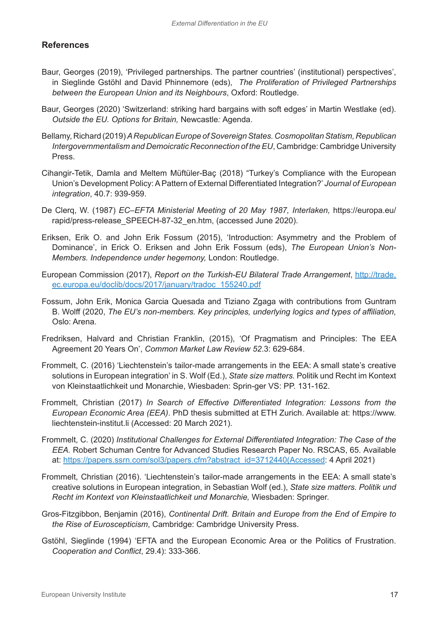# **References**

- Baur, Georges (2019), 'Privileged partnerships. The partner countries' (institutional) perspectives', in Sieglinde Gstöhl and David Phinnemore (eds), *The Proliferation of Privileged Partnerships between the European Union and its Neighbours*, Oxford: Routledge.
- Baur, Georges (2020) 'Switzerland: striking hard bargains with soft edges' in Martin Westlake (ed). *Outside the EU. Options for Britain,* Newcastle*:* Agenda.
- Bellamy, Richard (2019) *A Republican Europe of Sovereign States. Cosmopolitan Statism, Republican Intergovernmentalism and Demoicratic Reconnection of the EU*, Cambridge: Cambridge University Press.
- Cihangir-Tetik, Damla and Meltem Müftüler-Baç (2018) "Turkey's Compliance with the European Union's Development Policy: A Pattern of External Differentiated Integration?' *Journal of European integration*, 40.7: 939-959.
- De Clerq, W. (1987) *EC–EFTA Ministerial Meeting of 20 May 1987, Interlaken,* https://europa.eu/ rapid/press-release SPEECH-87-32 en.htm, (accessed June 2020).
- Eriksen, Erik O. and John Erik Fossum (2015), 'Introduction: Asymmetry and the Problem of Dominance', in Erick O. Eriksen and John Erik Fossum (eds), *The European Union's Non-Members. Independence under hegemony,* London: Routledge.
- European Commission (2017), *Report on the Turkish-EU Bilateral Trade Arrangement*, [http://trade.](http://trade.ec.europa.eu/doclib/docs/2017/january/tradoc_155240.pdf) [ec.europa.eu/doclib/docs/2017/january/tradoc\\_155240.pdf](http://trade.ec.europa.eu/doclib/docs/2017/january/tradoc_155240.pdf)
- Fossum, John Erik, Monica Garcia Quesada and Tiziano Zgaga with contributions from Guntram B. Wolff (2020, *The EU's non-members. Key principles, underlying logics and types of affiliation,*  Oslo: Arena.
- Fredriksen, Halvard and Christian Franklin, (2015), 'Of Pragmatism and Principles: The EEA Agreement 20 Years On', *Common Market Law Review 52*.3: 629-684.
- Frommelt, C. (2016) 'Liechtenstein's tailor-made arrangements in the EEA: A small state's creative solutions in European integration' in S. Wolf (Ed.), *State size matters.* Politik und Recht im Kontext von Kleinstaatlichkeit und Monarchie, Wiesbaden: Sprin-ger VS: PP. 131-162.
- Frommelt, Christian (2017) *In Search of Effective Differentiated Integration: Lessons from the European Economic Area (EEA)*. PhD thesis submitted at ETH Zurich. Available at: https://www. liechtenstein-institut.li (Accessed: 20 March 2021).
- Frommelt, C. (2020) *Institutional Challenges for External Differentiated Integration: The Case of the EEA.* Robert Schuman Centre for Advanced Studies Research Paper No. RSCAS, 65*.* Available at: [https://papers.ssrn.com/sol3/papers.cfm?abstract\\_id=3712440\(Accessed](https://papers.ssrn.com/sol3/papers.cfm?abstract_id=3712440(Accessed): 4 April 2021)
- Frommelt, Christian (2016). 'Liechtenstein's tailor-made arrangements in the EEA: A small state's creative solutions in European integration, in Sebastian Wolf (ed.), *State size matters. Politik und Recht im Kontext von Kleinstaatlichkeit und Monarchie,* Wiesbaden: Springer.
- Gros-Fitzgibbon, Benjamin (2016), *Continental Drift. Britain and Europe from the End of Empire to the Rise of Euroscepticism*, Cambridge: Cambridge University Press.
- Gstöhl, Sieglinde (1994) 'EFTA and the European Economic Area or the Politics of Frustration. *Cooperation and Conflict*, 29.4): 333-366.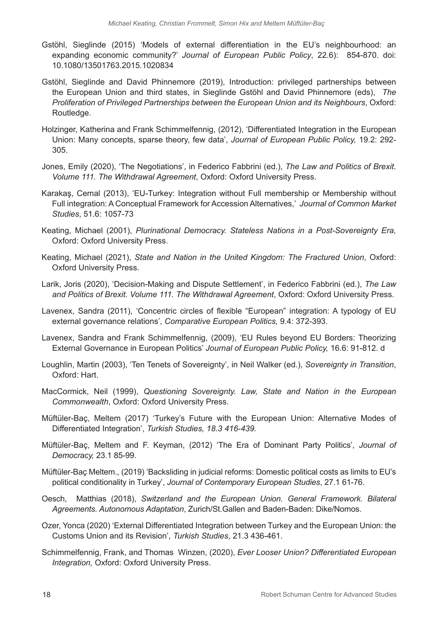- Gstöhl, Sieglinde (2015) 'Models of external differentiation in the EU's neighbourhood: an expanding economic community?' *Journal of European Public Policy*, 22.6): 854-870. doi: 10.1080/13501763.2015.1020834
- Gstöhl, Sieglinde and David Phinnemore (2019), Introduction: privileged partnerships between the European Union and third states, in Sieglinde Gstöhl and David Phinnemore (eds), *The Proliferation of Privileged Partnerships between the European Union and its Neighbours*, Oxford: Routledge.
- Holzinger, Katherina and Frank Schimmelfennig, (2012), 'Differentiated Integration in the European Union: Many concepts, sparse theory, few data', *Journal of European Public Policy,* 19.2: 292- 305.
- Jones, Emily (2020), 'The Negotiations', in Federico Fabbrini (ed.), *The Law and Politics of Brexit. Volume 111. The Withdrawal Agreement*, Oxford: Oxford University Press.
- Karakaş, Cemal (2013), 'EU-Turkey: Integration without Full membership or Membership without Full integration: A Conceptual Framework for Accession Alternatives,' *Journal of Common Market Studies*, 51.6: 1057-73
- Keating, Michael (2001), *Plurinational Democracy. Stateless Nations in a Post-Sovereignty Era,*  Oxford: Oxford University Press.
- Keating, Michael (2021), *State and Nation in the United Kingdom: The Fractured Union*, Oxford: Oxford University Press.
- Larik, Joris (2020), 'Decision-Making and Dispute Settlement', in Federico Fabbrini (ed.), *The Law and Politics of Brexit. Volume 111. The Withdrawal Agreement*, Oxford: Oxford University Press.
- Lavenex, Sandra (2011), 'Concentric circles of flexible "European" integration: A typology of EU external governance relations', *Comparative European Politics,* 9.4: 372-393.
- Lavenex, Sandra and Frank Schimmelfennig, (2009), 'EU Rules beyond EU Borders: Theorizing External Governance in European Politics' *Journal of European Public Policy,* 16.6: 91-812. d
- Loughlin, Martin (2003), 'Ten Tenets of Sovereignty', in Neil Walker (ed.), *Sovereignty in Transition*, Oxford: Hart.
- MacCormick, Neil (1999), *Questioning Sovereignty. Law, State and Nation in the European Commonwealth*, Oxford: Oxford University Press.
- Müftüler-Baç, Meltem (2017) 'Turkey's Future with the European Union: Alternative Modes of Differentiated Integration', *Turkish Studies, 18.3 416-439.*
- Müftüler-Baç, Meltem and F. Keyman, (2012) 'The Era of Dominant Party Politics', *Journal of Democracy,* 23.1 85-99.
- Müftüler-Baç Meltem., (2019) 'Backsliding in judicial reforms: Domestic political costs as limits to EU's political conditionality in Turkey', *Journal of Contemporary European Studies*, 27.1 61-76.
- Oesch, Matthias (2018), *Switzerland and the European Union. General Framework. Bilateral Agreements. Autonomous Adaptation*, Zurich/St.Gallen and Baden-Baden: Dike/Nomos.
- Ozer, Yonca (2020) 'External Differentiated Integration between Turkey and the European Union: the Customs Union and its Revision', *Turkish Studies*, 21.3 436-461.
- Schimmelfennig, Frank, and Thomas Winzen, (2020), *Ever Looser Union? Differentiated European Integration,* Oxford: Oxford University Press.